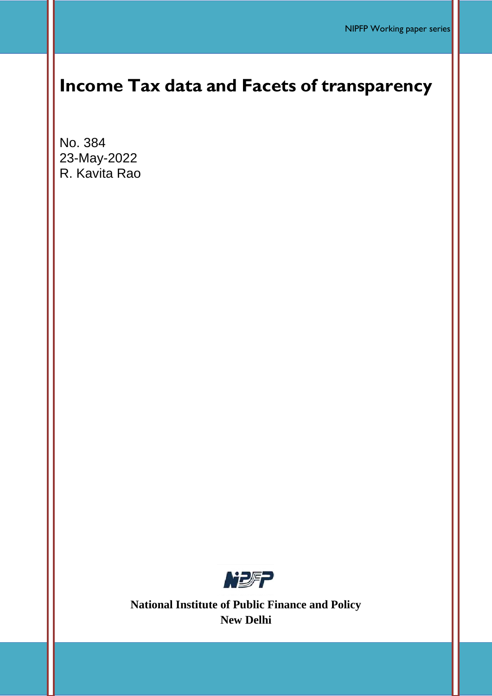# **Income Tax data and Facets of transparency**

No. 384 23-May-2022 R. Kavita Rao



**National Institute of Public Finance and Policy New Delhi**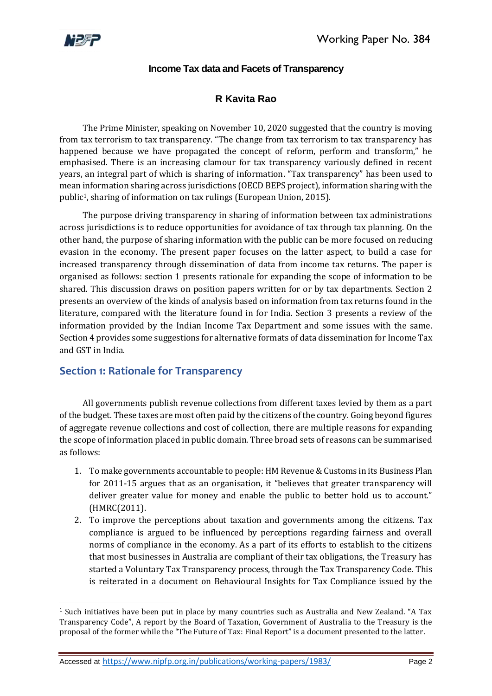

**.** 

### **Income Tax data and Facets of Transparency**

# **R Kavita Rao**

The Prime Minister, speaking on November 10, 2020 suggested that the country is moving from tax terrorism to tax transparency. "The change from tax terrorism to tax transparency has happened because we have propagated the concept of reform, perform and transform," he emphasised. There is an increasing clamour for tax transparency variously defined in recent years, an integral part of which is sharing of information. "Tax transparency" has been used to mean information sharing across jurisdictions (OECD BEPS project), information sharing with the public1, sharing of information on tax rulings (European Union, 2015).

The purpose driving transparency in sharing of information between tax administrations across jurisdictions is to reduce opportunities for avoidance of tax through tax planning. On the other hand, the purpose of sharing information with the public can be more focused on reducing evasion in the economy. The present paper focuses on the latter aspect, to build a case for increased transparency through dissemination of data from income tax returns. The paper is organised as follows: section 1 presents rationale for expanding the scope of information to be shared. This discussion draws on position papers written for or by tax departments. Section 2 presents an overview of the kinds of analysis based on information from tax returns found in the literature, compared with the literature found in for India. Section 3 presents a review of the information provided by the Indian Income Tax Department and some issues with the same. Section 4 provides some suggestions for alternative formats of data dissemination for Income Tax and GST in India.

# **Section 1: Rationale for Transparency**

All governments publish revenue collections from different taxes levied by them as a part of the budget. These taxes are most often paid by the citizens of the country. Going beyond figures of aggregate revenue collections and cost of collection, there are multiple reasons for expanding the scope of information placed in public domain. Three broad sets of reasons can be summarised as follows:

- 1. To make governments accountable to people: HM Revenue & Customs in its Business Plan for 2011-15 argues that as an organisation, it "believes that greater transparency will deliver greater value for money and enable the public to better hold us to account." (HMRC(2011).
- 2. To improve the perceptions about taxation and governments among the citizens. Tax compliance is argued to be influenced by perceptions regarding fairness and overall norms of compliance in the economy. As a part of its efforts to establish to the citizens that most businesses in Australia are compliant of their tax obligations, the Treasury has started a Voluntary Tax Transparency process, through the Tax Transparency Code. This is reiterated in a document on Behavioural Insights for Tax Compliance issued by the

<sup>1</sup> Such initiatives have been put in place by many countries such as Australia and New Zealand. "A Tax Transparency Code", A report by the Board of Taxation, Government of Australia to the Treasury is the proposal of the former while the "The Future of Tax: Final Report" is a document presented to the latter.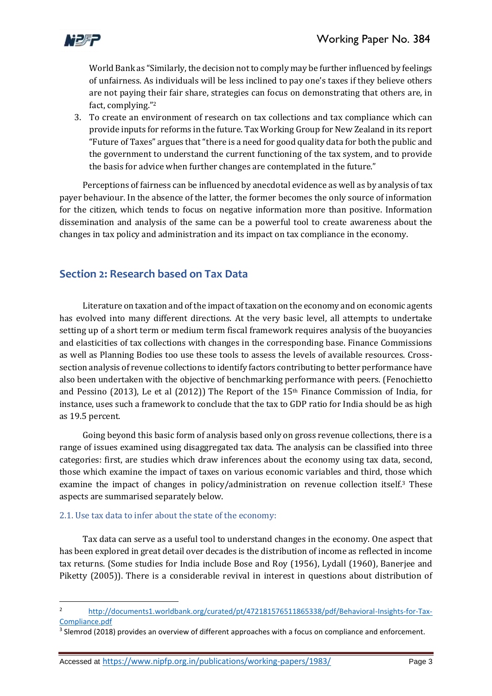

World Bank as "Similarly, the decision not to comply may be further influenced by feelings of unfairness. As individuals will be less inclined to pay one's taxes if they believe others are not paying their fair share, strategies can focus on demonstrating that others are, in fact, complying." 2

3. To create an environment of research on tax collections and tax compliance which can provide inputs for reforms in the future. Tax Working Group for New Zealand in its report "Future of Taxes" argues that "there is a need for good quality data for both the public and the government to understand the current functioning of the tax system, and to provide the basis for advice when further changes are contemplated in the future."

Perceptions of fairness can be influenced by anecdotal evidence as well as by analysis of tax payer behaviour. In the absence of the latter, the former becomes the only source of information for the citizen, which tends to focus on negative information more than positive. Information dissemination and analysis of the same can be a powerful tool to create awareness about the changes in tax policy and administration and its impact on tax compliance in the economy.

# **Section 2: Research based on Tax Data**

Literature on taxation and of the impact of taxation on the economy and on economic agents has evolved into many different directions. At the very basic level, all attempts to undertake setting up of a short term or medium term fiscal framework requires analysis of the buoyancies and elasticities of tax collections with changes in the corresponding base. Finance Commissions as well as Planning Bodies too use these tools to assess the levels of available resources. Crosssection analysis of revenue collections to identify factors contributing to better performance have also been undertaken with the objective of benchmarking performance with peers. (Fenochietto and Pessino (2013), Le et al (2012)) The Report of the 15<sup>th</sup> Finance Commission of India, for instance, uses such a framework to conclude that the tax to GDP ratio for India should be as high as 19.5 percent.

Going beyond this basic form of analysis based only on gross revenue collections, there is a range of issues examined using disaggregated tax data. The analysis can be classified into three categories: first, are studies which draw inferences about the economy using tax data, second, those which examine the impact of taxes on various economic variables and third, those which examine the impact of changes in policy/administration on revenue collection itself.<sup>3</sup> These aspects are summarised separately below.

### 2.1. Use tax data to infer about the state of the economy:

**.** 

Tax data can serve as a useful tool to understand changes in the economy. One aspect that has been explored in great detail over decades is the distribution of income as reflected in income tax returns. (Some studies for India include Bose and Roy (1956), Lydall (1960), Banerjee and Piketty (2005)). There is a considerable revival in interest in questions about distribution of

<sup>2</sup> [http://documents1.worldbank.org/curated/pt/472181576511865338/pdf/Behavioral-Insights-for-Tax-](http://documents1.worldbank.org/curated/pt/472181576511865338/pdf/Behavioral-Insights-for-Tax-Compliance.pdf)[Compliance.pdf](http://documents1.worldbank.org/curated/pt/472181576511865338/pdf/Behavioral-Insights-for-Tax-Compliance.pdf)

<sup>&</sup>lt;sup>3</sup> Slemrod (2018) provides an overview of different approaches with a focus on compliance and enforcement.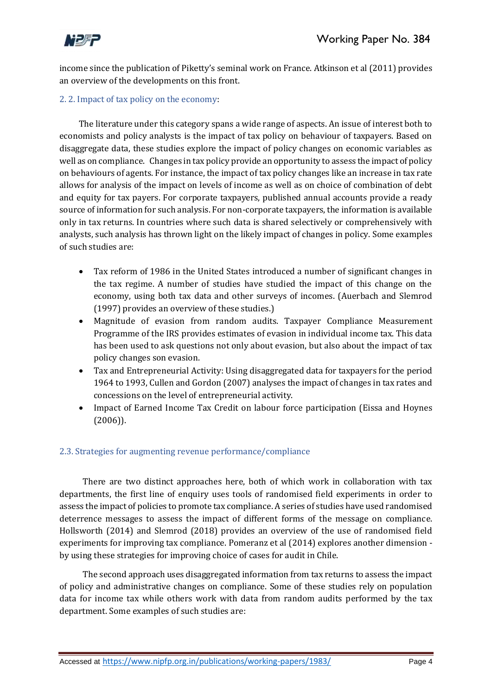

income since the publication of Piketty's seminal work on France. Atkinson et al (2011) provides an overview of the developments on this front.

### 2. 2. Impact of tax policy on the economy:

The literature under this category spans a wide range of aspects. An issue of interest both to economists and policy analysts is the impact of tax policy on behaviour of taxpayers. Based on disaggregate data, these studies explore the impact of policy changes on economic variables as well as on compliance. Changes in tax policy provide an opportunity to assess the impact of policy on behaviours of agents. For instance, the impact of tax policy changes like an increase in tax rate allows for analysis of the impact on levels of income as well as on choice of combination of debt and equity for tax payers. For corporate taxpayers, published annual accounts provide a ready source of information for such analysis. For non-corporate taxpayers, the information is available only in tax returns. In countries where such data is shared selectively or comprehensively with analysts, such analysis has thrown light on the likely impact of changes in policy. Some examples of such studies are:

- Tax reform of 1986 in the United States introduced a number of significant changes in the tax regime. A number of studies have studied the impact of this change on the economy, using both tax data and other surveys of incomes. (Auerbach and Slemrod (1997) provides an overview of these studies.)
- Magnitude of evasion from random audits. Taxpayer Compliance Measurement Programme of the IRS provides estimates of evasion in individual income tax. This data has been used to ask questions not only about evasion, but also about the impact of tax policy changes son evasion.
- Tax and Entrepreneurial Activity: Using disaggregated data for taxpayers for the period 1964 to 1993, Cullen and Gordon (2007) analyses the impact of changes in tax rates and concessions on the level of entrepreneurial activity.
- Impact of Earned Income Tax Credit on labour force participation (Eissa and Hoynes (2006)).

#### 2.3. Strategies for augmenting revenue performance/compliance

There are two distinct approaches here, both of which work in collaboration with tax departments, the first line of enquiry uses tools of randomised field experiments in order to assess the impact of policies to promote tax compliance. A series of studies have used randomised deterrence messages to assess the impact of different forms of the message on compliance. Hollsworth (2014) and Slemrod (2018) provides an overview of the use of randomised field experiments for improving tax compliance. Pomeranz et al (2014) explores another dimension by using these strategies for improving choice of cases for audit in Chile.

The second approach uses disaggregated information from tax returns to assess the impact of policy and administrative changes on compliance. Some of these studies rely on population data for income tax while others work with data from random audits performed by the tax department. Some examples of such studies are: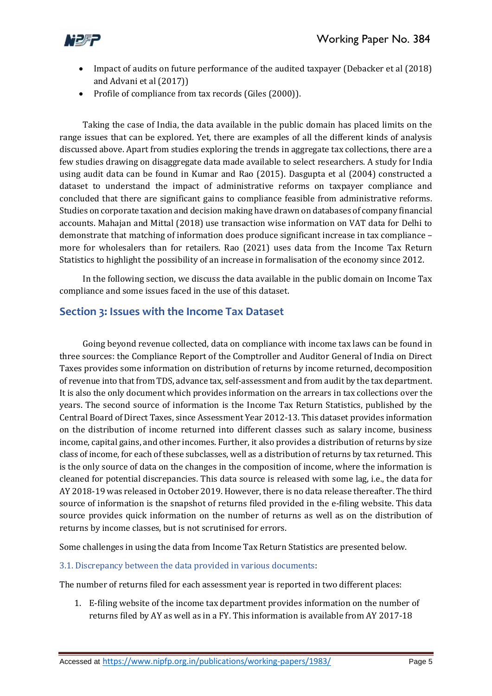

- Impact of audits on future performance of the audited taxpayer (Debacker et al (2018) and Advani et al (2017))
- Profile of compliance from tax records (Giles (2000)).

Taking the case of India, the data available in the public domain has placed limits on the range issues that can be explored. Yet, there are examples of all the different kinds of analysis discussed above. Apart from studies exploring the trends in aggregate tax collections, there are a few studies drawing on disaggregate data made available to select researchers. A study for India using audit data can be found in Kumar and Rao (2015). Dasgupta et al (2004) constructed a dataset to understand the impact of administrative reforms on taxpayer compliance and concluded that there are significant gains to compliance feasible from administrative reforms. Studies on corporate taxation and decision making have drawn on databases of company financial accounts. Mahajan and Mittal (2018) use transaction wise information on VAT data for Delhi to demonstrate that matching of information does produce significant increase in tax compliance – more for wholesalers than for retailers. Rao (2021) uses data from the Income Tax Return Statistics to highlight the possibility of an increase in formalisation of the economy since 2012.

In the following section, we discuss the data available in the public domain on Income Tax compliance and some issues faced in the use of this dataset.

## **Section 3: Issues with the Income Tax Dataset**

Going beyond revenue collected, data on compliance with income tax laws can be found in three sources: the Compliance Report of the Comptroller and Auditor General of India on Direct Taxes provides some information on distribution of returns by income returned, decomposition of revenue into that from TDS, advance tax, self-assessment and from audit by the tax department. It is also the only document which provides information on the arrears in tax collections over the years. The second source of information is the Income Tax Return Statistics, published by the Central Board of Direct Taxes, since Assessment Year 2012-13. This dataset provides information on the distribution of income returned into different classes such as salary income, business income, capital gains, and other incomes. Further, it also provides a distribution of returns by size class of income, for each of these subclasses, well as a distribution of returns by tax returned. This is the only source of data on the changes in the composition of income, where the information is cleaned for potential discrepancies. This data source is released with some lag, i.e., the data for AY 2018-19 was released in October 2019. However, there is no data release thereafter. The third source of information is the snapshot of returns filed provided in the e-filing website. This data source provides quick information on the number of returns as well as on the distribution of returns by income classes, but is not scrutinised for errors.

Some challenges in using the data from Income Tax Return Statistics are presented below.

#### 3.1. Discrepancy between the data provided in various documents:

The number of returns filed for each assessment year is reported in two different places:

1. E-filing website of the income tax department provides information on the number of returns filed by AY as well as in a FY. This information is available from AY 2017-18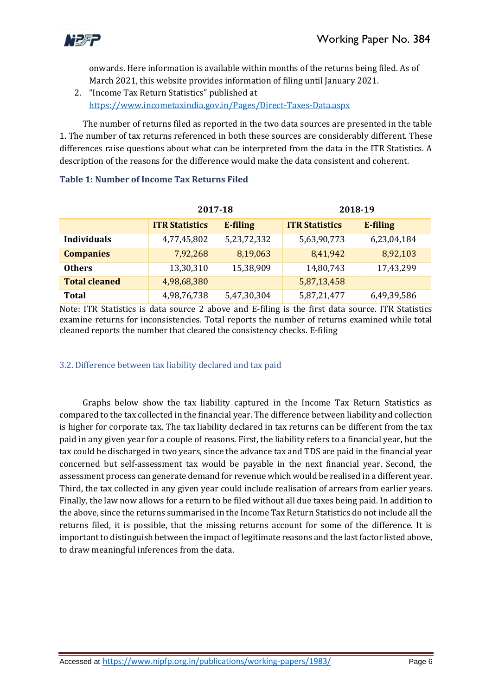

onwards. Here information is available within months of the returns being filed. As of March 2021, this website provides information of filing until January 2021.

2. "Income Tax Return Statistics" published at <https://www.incometaxindia.gov.in/Pages/Direct-Taxes-Data.aspx>

The number of returns filed as reported in the two data sources are presented in the table 1. The number of tax returns referenced in both these sources are considerably different. These differences raise questions about what can be interpreted from the data in the ITR Statistics. A description of the reasons for the difference would make the data consistent and coherent.

|                      | 2017-18               |             | 2018-19               |             |  |
|----------------------|-----------------------|-------------|-----------------------|-------------|--|
|                      | <b>ITR Statistics</b> | E-filing    | <b>ITR Statistics</b> | E-filing    |  |
| <b>Individuals</b>   | 4,77,45,802           | 5,23,72,332 | 5,63,90,773           | 6,23,04,184 |  |
| <b>Companies</b>     | 7,92,268              | 8,19,063    | 8,41,942              | 8,92,103    |  |
| <b>Others</b>        | 13,30,310             | 15,38,909   | 14,80,743             | 17,43,299   |  |
| <b>Total cleaned</b> | 4,98,68,380           |             | 5,87,13,458           |             |  |
| <b>Total</b>         | 4,98,76,738           | 5,47,30,304 | 5,87,21,477           | 6,49,39,586 |  |

### **Table 1: Number of Income Tax Returns Filed**

Note: ITR Statistics is data source 2 above and E-filing is the first data source. ITR Statistics examine returns for inconsistencies. Total reports the number of returns examined while total cleaned reports the number that cleared the consistency checks. E-filing

### 3.2. Difference between tax liability declared and tax paid

Graphs below show the tax liability captured in the Income Tax Return Statistics as compared to the tax collected in the financial year. The difference between liability and collection is higher for corporate tax. The tax liability declared in tax returns can be different from the tax paid in any given year for a couple of reasons. First, the liability refers to a financial year, but the tax could be discharged in two years, since the advance tax and TDS are paid in the financial year concerned but self-assessment tax would be payable in the next financial year. Second, the assessment process can generate demand for revenue which would be realised in a different year. Third, the tax collected in any given year could include realisation of arrears from earlier years. Finally, the law now allows for a return to be filed without all due taxes being paid. In addition to the above, since the returns summarised in the Income Tax Return Statistics do not include all the returns filed, it is possible, that the missing returns account for some of the difference. It is important to distinguish between the impact of legitimate reasons and the last factor listed above, to draw meaningful inferences from the data.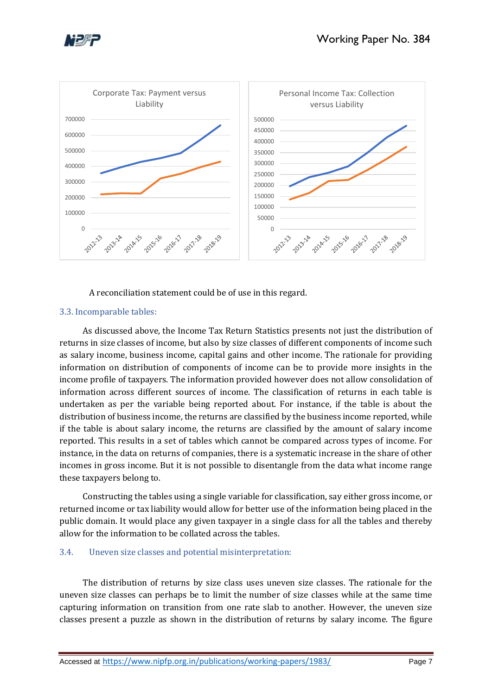





A reconciliation statement could be of use in this regard.

#### 3.3. Incomparable tables:

As discussed above, the Income Tax Return Statistics presents not just the distribution of returns in size classes of income, but also by size classes of different components of income such as salary income, business income, capital gains and other income. The rationale for providing information on distribution of components of income can be to provide more insights in the income profile of taxpayers. The information provided however does not allow consolidation of information across different sources of income. The classification of returns in each table is undertaken as per the variable being reported about. For instance, if the table is about the distribution of business income, the returns are classified by the business income reported, while if the table is about salary income, the returns are classified by the amount of salary income reported. This results in a set of tables which cannot be compared across types of income. For instance, in the data on returns of companies, there is a systematic increase in the share of other incomes in gross income. But it is not possible to disentangle from the data what income range these taxpayers belong to.

Constructing the tables using a single variable for classification, say either gross income, or returned income or tax liability would allow for better use of the information being placed in the public domain. It would place any given taxpayer in a single class for all the tables and thereby allow for the information to be collated across the tables.

#### 3.4. Uneven size classes and potential misinterpretation:

The distribution of returns by size class uses uneven size classes. The rationale for the uneven size classes can perhaps be to limit the number of size classes while at the same time capturing information on transition from one rate slab to another. However, the uneven size classes present a puzzle as shown in the distribution of returns by salary income. The figure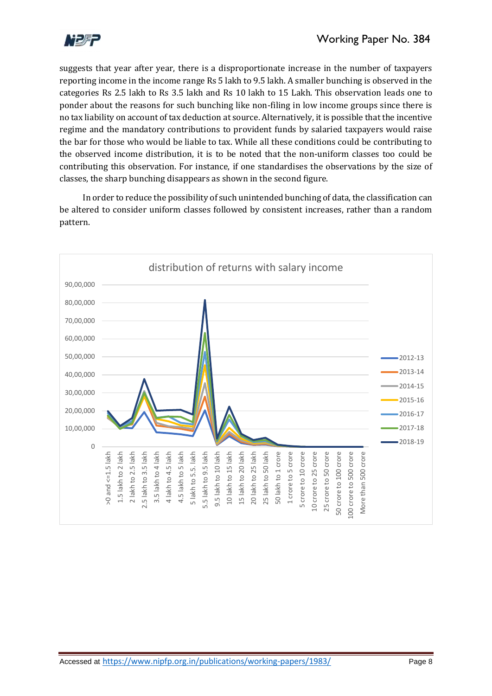

suggests that year after year, there is a disproportionate increase in the number of taxpayers reporting income in the income range Rs 5 lakh to 9.5 lakh. A smaller bunching is observed in the categories Rs 2.5 lakh to Rs 3.5 lakh and Rs 10 lakh to 15 Lakh. This observation leads one to ponder about the reasons for such bunching like non-filing in low income groups since there is no tax liability on account of tax deduction at source. Alternatively, it is possible that the incentive regime and the mandatory contributions to provident funds by salaried taxpayers would raise the bar for those who would be liable to tax. While all these conditions could be contributing to the observed income distribution, it is to be noted that the non-uniform classes too could be contributing this observation. For instance, if one standardises the observations by the size of classes, the sharp bunching disappears as shown in the second figure.

In order to reduce the possibility of such unintended bunching of data, the classification can be altered to consider uniform classes followed by consistent increases, rather than a random pattern.

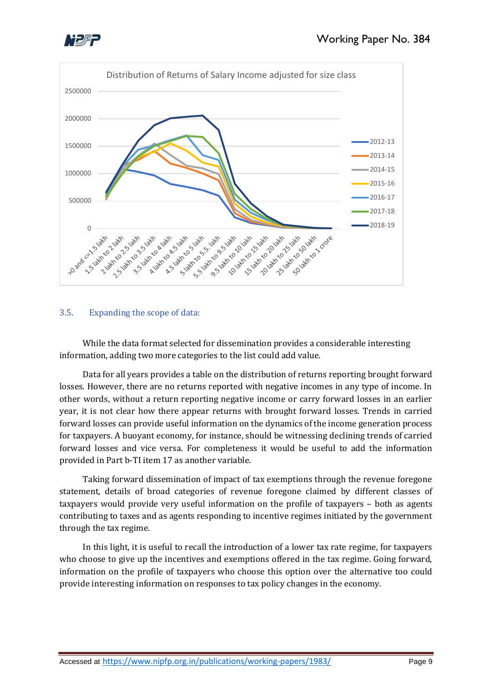



### 3.5. Expanding the scope of data:

While the data format selected for dissemination provides a considerable interesting information, adding two more categories to the list could add value.

Data for all years provides a table on the distribution of returns reporting brought forward losses. However, there are no returns reported with negative incomes in any type of income. In other words, without a return reporting negative income or carry forward losses in an earlier year, it is not clear how there appear returns with brought forward losses. Trends in carried forward losses can provide useful information on the dynamics of the income generation process for taxpayers. A buoyant economy, for instance, should be witnessing declining trends of carried forward losses and vice versa. For completeness it would be useful to add the information provided in Part b-TI item 17 as another variable.

Taking forward dissemination of impact of tax exemptions through the revenue foregone statement, details of broad categories of revenue foregone claimed by different classes of taxpayers would provide very useful information on the profile of taxpayers – both as agents contributing to taxes and as agents responding to incentive regimes initiated by the government through the tax regime.

In this light, it is useful to recall the introduction of a lower tax rate regime, for taxpayers who choose to give up the incentives and exemptions offered in the tax regime. Going forward, information on the profile of taxpayers who choose this option over the alternative too could provide interesting information on responses to tax policy changes in the economy.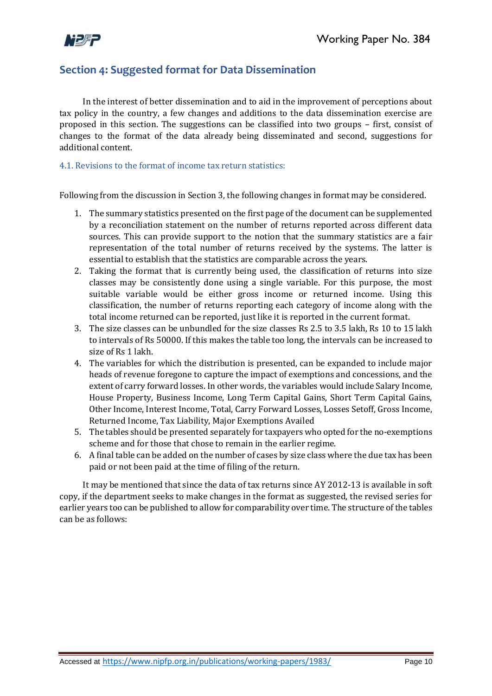

# **Section 4: Suggested format for Data Dissemination**

In the interest of better dissemination and to aid in the improvement of perceptions about tax policy in the country, a few changes and additions to the data dissemination exercise are proposed in this section. The suggestions can be classified into two groups – first, consist of changes to the format of the data already being disseminated and second, suggestions for additional content.

#### 4.1. Revisions to the format of income tax return statistics:

Following from the discussion in Section 3, the following changes in format may be considered.

- 1. The summary statistics presented on the first page of the document can be supplemented by a reconciliation statement on the number of returns reported across different data sources. This can provide support to the notion that the summary statistics are a fair representation of the total number of returns received by the systems. The latter is essential to establish that the statistics are comparable across the years.
- 2. Taking the format that is currently being used, the classification of returns into size classes may be consistently done using a single variable. For this purpose, the most suitable variable would be either gross income or returned income. Using this classification, the number of returns reporting each category of income along with the total income returned can be reported, just like it is reported in the current format.
- 3. The size classes can be unbundled for the size classes Rs 2.5 to 3.5 lakh, Rs 10 to 15 lakh to intervals of Rs 50000. If this makes the table too long, the intervals can be increased to size of Rs 1 lakh.
- 4. The variables for which the distribution is presented, can be expanded to include major heads of revenue foregone to capture the impact of exemptions and concessions, and the extent of carry forward losses. In other words, the variables would include Salary Income, House Property, Business Income, Long Term Capital Gains, Short Term Capital Gains, Other Income, Interest Income, Total, Carry Forward Losses, Losses Setoff, Gross Income, Returned Income, Tax Liability, Major Exemptions Availed
- 5. The tables should be presented separately for taxpayers who opted for the no-exemptions scheme and for those that chose to remain in the earlier regime.
- 6. A final table can be added on the number of cases by size class where the due tax has been paid or not been paid at the time of filing of the return.

It may be mentioned that since the data of tax returns since AY 2012-13 is available in soft copy, if the department seeks to make changes in the format as suggested, the revised series for earlier years too can be published to allow for comparability over time. The structure of the tables can be as follows: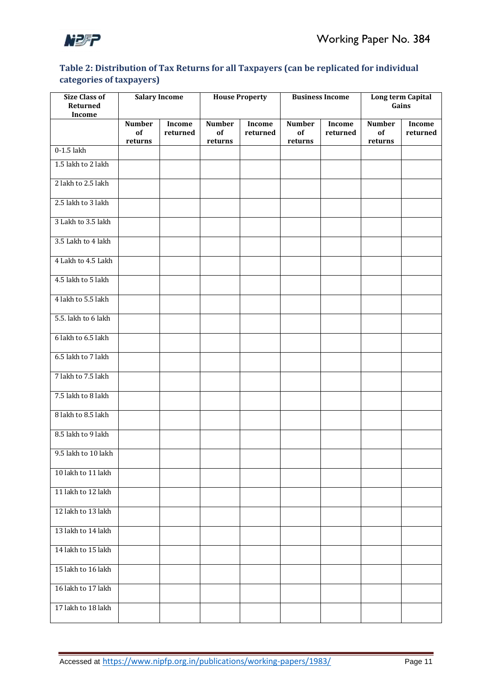

### **Table 2: Distribution of Tax Returns for all Taxpayers (can be replicated for individual categories of taxpayers)**

| <b>Size Class of</b><br>Returned<br>Income |               | <b>Salary Income</b> |               | <b>House Property</b> |               | <b>Business Income</b> |               | Long term Capital<br>Gains |
|--------------------------------------------|---------------|----------------------|---------------|-----------------------|---------------|------------------------|---------------|----------------------------|
|                                            | <b>Number</b> | <b>Income</b>        | <b>Number</b> | Income                | <b>Number</b> | Income                 | <b>Number</b> | Income                     |
|                                            | of            | returned             | of            | returned              | of            | returned               | of            | returned                   |
| $0-1.5$ lakh                               | returns       |                      | returns       |                       | returns       |                        | returns       |                            |
| 1.5 lakh to 2 lakh                         |               |                      |               |                       |               |                        |               |                            |
| 2 lakh to 2.5 lakh                         |               |                      |               |                       |               |                        |               |                            |
| 2.5 lakh to 3 lakh                         |               |                      |               |                       |               |                        |               |                            |
| 3 Lakh to 3.5 lakh                         |               |                      |               |                       |               |                        |               |                            |
| 3.5 Lakh to 4 lakh                         |               |                      |               |                       |               |                        |               |                            |
| 4 Lakh to 4.5 Lakh                         |               |                      |               |                       |               |                        |               |                            |
| 4.5 lakh to 5 lakh                         |               |                      |               |                       |               |                        |               |                            |
| 4 lakh to 5.5 lakh                         |               |                      |               |                       |               |                        |               |                            |
| 5.5. lakh to 6 lakh                        |               |                      |               |                       |               |                        |               |                            |
| 6 lakh to 6.5 lakh                         |               |                      |               |                       |               |                        |               |                            |
| 6.5 lakh to 7 lakh                         |               |                      |               |                       |               |                        |               |                            |
| 7 lakh to 7.5 lakh                         |               |                      |               |                       |               |                        |               |                            |
| 7.5 lakh to 8 lakh                         |               |                      |               |                       |               |                        |               |                            |
| 8 lakh to 8.5 lakh                         |               |                      |               |                       |               |                        |               |                            |
| 8.5 lakh to 9 lakh                         |               |                      |               |                       |               |                        |               |                            |
| 9.5 lakh to 10 lakh                        |               |                      |               |                       |               |                        |               |                            |
| 10 lakh to 11 lakh                         |               |                      |               |                       |               |                        |               |                            |
| 11 lakh to 12 lakh                         |               |                      |               |                       |               |                        |               |                            |
| 12 lakh to 13 lakh                         |               |                      |               |                       |               |                        |               |                            |
| 13 lakh to 14 lakh                         |               |                      |               |                       |               |                        |               |                            |
| 14 lakh to 15 lakh                         |               |                      |               |                       |               |                        |               |                            |
| 15 lakh to 16 lakh                         |               |                      |               |                       |               |                        |               |                            |
| 16 lakh to 17 lakh                         |               |                      |               |                       |               |                        |               |                            |
| 17 lakh to 18 lakh                         |               |                      |               |                       |               |                        |               |                            |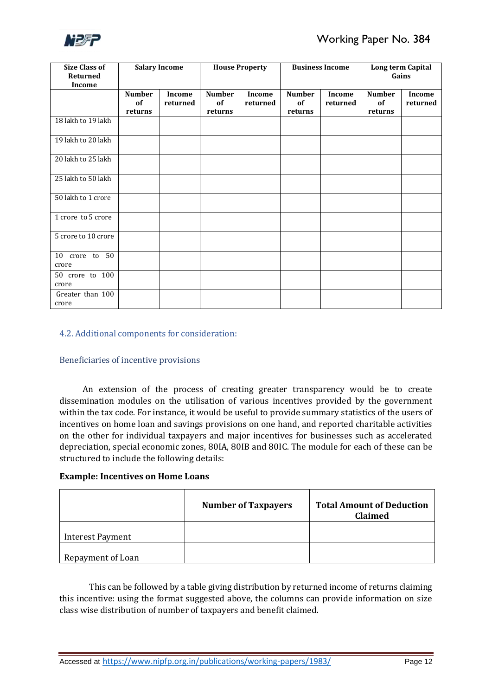

| <b>Size Class of</b><br>Returned<br><b>Income</b> |                                | <b>Salary Income</b> | <b>House Property</b>          |                    | <b>Business Income</b>         |                    | Long term Capital<br>Gains     |                    |
|---------------------------------------------------|--------------------------------|----------------------|--------------------------------|--------------------|--------------------------------|--------------------|--------------------------------|--------------------|
|                                                   | <b>Number</b><br>of<br>returns | Income<br>returned   | <b>Number</b><br>of<br>returns | Income<br>returned | <b>Number</b><br>of<br>returns | Income<br>returned | <b>Number</b><br>of<br>returns | Income<br>returned |
| 18 lakh to 19 lakh                                |                                |                      |                                |                    |                                |                    |                                |                    |
| 19 lakh to 20 lakh                                |                                |                      |                                |                    |                                |                    |                                |                    |
| 20 lakh to 25 lakh                                |                                |                      |                                |                    |                                |                    |                                |                    |
| 25 lakh to 50 lakh                                |                                |                      |                                |                    |                                |                    |                                |                    |
| 50 lakh to 1 crore                                |                                |                      |                                |                    |                                |                    |                                |                    |
| 1 crore to 5 crore                                |                                |                      |                                |                    |                                |                    |                                |                    |
| 5 crore to 10 crore                               |                                |                      |                                |                    |                                |                    |                                |                    |
| 10 crore to 50<br>crore                           |                                |                      |                                |                    |                                |                    |                                |                    |
| 50 crore to 100<br>crore                          |                                |                      |                                |                    |                                |                    |                                |                    |
| Greater than 100<br>crore                         |                                |                      |                                |                    |                                |                    |                                |                    |

#### 4.2. Additional components for consideration:

#### Beneficiaries of incentive provisions

An extension of the process of creating greater transparency would be to create dissemination modules on the utilisation of various incentives provided by the government within the tax code. For instance, it would be useful to provide summary statistics of the users of incentives on home loan and savings provisions on one hand, and reported charitable activities on the other for individual taxpayers and major incentives for businesses such as accelerated depreciation, special economic zones, 80IA, 80IB and 80IC. The module for each of these can be structured to include the following details:

#### **Example: Incentives on Home Loans**

|                         | <b>Number of Taxpayers</b> | <b>Total Amount of Deduction</b><br><b>Claimed</b> |
|-------------------------|----------------------------|----------------------------------------------------|
| <b>Interest Payment</b> |                            |                                                    |
| Repayment of Loan       |                            |                                                    |

This can be followed by a table giving distribution by returned income of returns claiming this incentive: using the format suggested above, the columns can provide information on size class wise distribution of number of taxpayers and benefit claimed.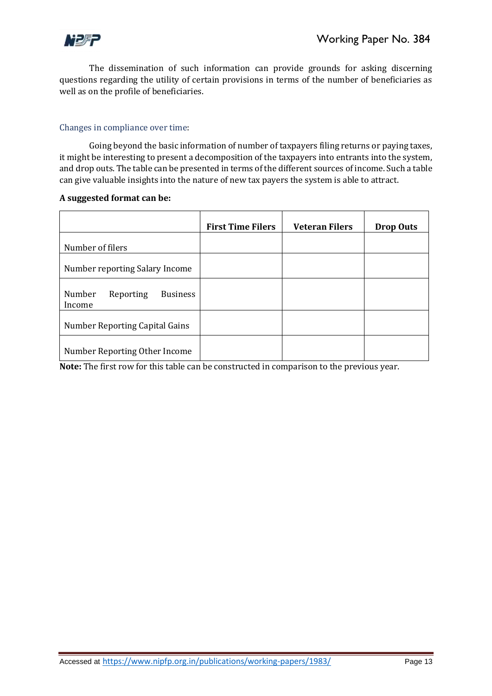

The dissemination of such information can provide grounds for asking discerning questions regarding the utility of certain provisions in terms of the number of beneficiaries as well as on the profile of beneficiaries.

#### Changes in compliance over time:

Going beyond the basic information of number of taxpayers filing returns or paying taxes, it might be interesting to present a decomposition of the taxpayers into entrants into the system, and drop outs. The table can be presented in terms of the different sources of income. Such a table can give valuable insights into the nature of new tax payers the system is able to attract.

#### **A suggested format can be:**

|                                                  | <b>First Time Filers</b> | <b>Veteran Filers</b> | <b>Drop Outs</b> |
|--------------------------------------------------|--------------------------|-----------------------|------------------|
| Number of filers                                 |                          |                       |                  |
| Number reporting Salary Income                   |                          |                       |                  |
| Number<br><b>Business</b><br>Reporting<br>Income |                          |                       |                  |
| Number Reporting Capital Gains                   |                          |                       |                  |
| Number Reporting Other Income                    |                          |                       |                  |

**Note:** The first row for this table can be constructed in comparison to the previous year.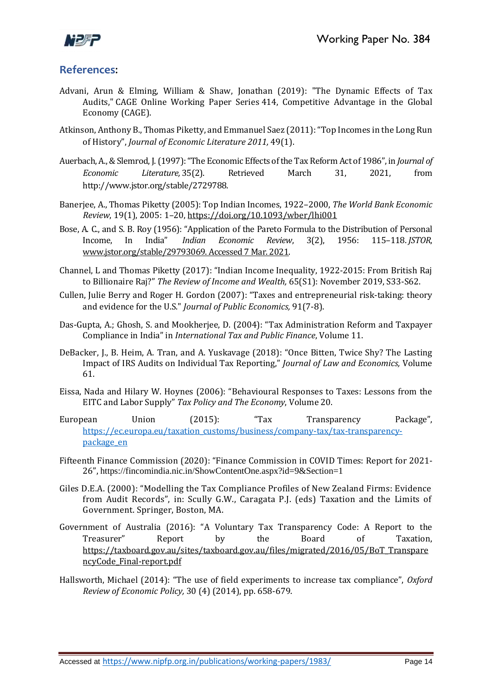

### **References**:

- Advani, Arun & Elming, William & Shaw, Jonathan (2019): ["The Dynamic Effects of Tax](https://ideas.repec.org/p/cge/wacage/414.html)  [Audits,](https://ideas.repec.org/p/cge/wacage/414.html)" [CAGE Online Working Paper Series](https://ideas.repec.org/s/cge/wacage.html) 414, Competitive Advantage in the Global Economy (CAGE).
- Atkinson, Anthony B., Thomas Piketty, and Emmanuel Saez (2011): "Top Incomes in the Long Run of History", *Journal of Economic Literature 2011,* 49(1).
- Auerbach, A., & Slemrod, J. (1997): "The Economic Effects of the Tax Reform Act of 1986", in *Journal of Economic Literature,* 35(2). Retrieved March 31, 2021, from http://www.jstor.org/stable/2729788.
- Banerjee, A., Thomas Piketty (2005): Top Indian Incomes, 1922–2000, *The World Bank Economic Review*, 19(1), 2005: 1–20, <https://doi.org/10.1093/wber/lhi001>
- Bose, A. C., and S. B. Roy (1956): "Application of the Pareto Formula to the Distribution of Personal Income, In India" *Indian Economic Review*, 3(2), 1956: 115–118. *JSTOR*, [www.jstor.org/stable/29793069. Accessed 7 Mar. 2021.](http://www.jstor.org/stable/29793069.%20Accessed%207%20Mar.%202021)
- Channel, L and Thomas Piketty (2017): "Indian Income Inequality, 1922‐2015: From British Raj to Billionaire Raj?" *The Review of Income and Wealth,* 65(S1): November 2019, S33-S62.
- Cullen, Julie Berry and Roger H. Gordon (2007): "Taxes and entrepreneurial risk-taking: theory and evidence for the U.S." *Journal of Public Economics,* 91(7-8).
- Das-Gupta, A.; Ghosh, S. and Mookherjee, D. (2004): "Tax Administration Reform and Taxpayer Compliance in India" in *International Tax and Public Finance*, Volume 11.
- DeBacker, J., B. Heim, A. Tran, and A. Yuskavage (2018): "Once Bitten, Twice Shy? The Lasting Impact of IRS Audits on Individual Tax Reporting," *Journal of Law and Economics,* Volume 61.
- Eissa, Nada and Hilary W. Hoynes (2006): "Behavioural Responses to Taxes: Lessons from the EITC and Labor Supply" *Tax Policy and The Economy*, Volume 20.
- European Union (2015): "Tax Transparency Package", [https://ec.europa.eu/taxation\\_customs/business/company-tax/tax-transparency](https://ec.europa.eu/taxation_customs/business/company-tax/tax-transparency-package_en)[package\\_en](https://ec.europa.eu/taxation_customs/business/company-tax/tax-transparency-package_en)
- Fifteenth Finance Commission (2020): "Finance Commission in COVID Times: Report for 2021- 26", <https://fincomindia.nic.in/ShowContentOne.aspx?id=9&Section=1>
- Giles D.E.A. (2000): "Modelling the Tax Compliance Profiles of New Zealand Firms: Evidence from Audit Records", in: Scully G.W., Caragata P.J. (eds) Taxation and the Limits of Government. Springer, Boston, MA.
- Government of Australia (2016): "A Voluntary Tax Transparency Code: A Report to the Treasurer" Report by the Board of Taxation, [https://taxboard.gov.au/sites/taxboard.gov.au/files/migrated/2016/05/BoT\\_Transpare](https://taxboard.gov.au/sites/taxboard.gov.au/files/migrated/2016/05/BoT_TransparencyCode_Final-report.pdf) [ncyCode\\_Final-report.pdf](https://taxboard.gov.au/sites/taxboard.gov.au/files/migrated/2016/05/BoT_TransparencyCode_Final-report.pdf)
- Hallsworth, Michael (2014): "The use of field experiments to increase tax compliance", *Oxford Review of Economic Policy,* 30 (4) (2014), pp. 658-679.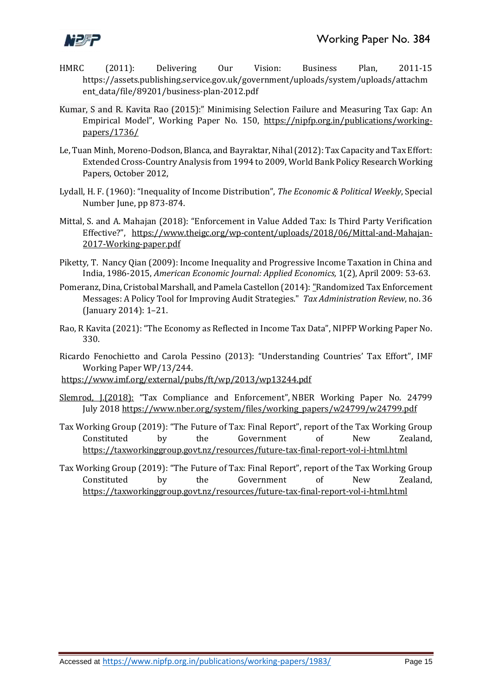

- HMRC (2011): Delivering Our Vision: Business Plan, 2011-15 https://assets.publishing.service.gov.uk/government/uploads/system/uploads/attachm ent\_data/file/89201/business-plan-2012.pdf
- Kumar, S and R. Kavita Rao (2015):" Minimising Selection Failure and Measuring Tax Gap: An Empirical Model", Working Paper No. 150, [https://nipfp.org.in/publications/working](https://nipfp.org.in/publications/working-papers/1736/)[papers/1736/](https://nipfp.org.in/publications/working-papers/1736/)
- Le, Tuan Minh, Moreno-Dodson, Blanca, and Bayraktar, Nihal (2012)[: Tax Capacity and Tax Effort:](https://elibrary.worldbank.org/doi/book/10.1596/1813-9450-6252)  [Extended Cross-Country Analysis from 1994 to 2009,](https://elibrary.worldbank.org/doi/book/10.1596/1813-9450-6252) World Bank Policy Research Working Papers, October 2012,
- Lydall, H. F. (1960): "Inequality of Income Distribution", *The Economic & Political Weekly*, Special Number June, pp 873-874.
- Mittal, S. and A. Mahajan (2018): "Enforcement in Value Added Tax: Is Third Party Verification Effective?", [https://www.theigc.org/wp-content/uploads/2018/06/Mittal-and-Mahajan-](https://www.theigc.org/wp-content/uploads/2018/06/Mittal-and-Mahajan-2017-Working-paper.pdf)[2017-Working-paper.pdf](https://www.theigc.org/wp-content/uploads/2018/06/Mittal-and-Mahajan-2017-Working-paper.pdf)
- Piketty, T. Nancy Qian (2009): Income Inequality and Progressive Income Taxation in China and India, 1986-2015, *American Economic Journal: Applied Economics,* 1(2), April 2009: 53-63.
- Pomeranz, Dina, Cristobal Marshall, and Pamela Castellon (2014): "Randomized Tax Enforcement Messages: A Policy Tool for Improving Audit Strategies." *Tax Administration Review*, no. 36 (January 2014): 1–21.
- Rao, R Kavita (2021): "The Economy as Reflected in Income Tax Data", NIPFP Working Paper No. 330.
- Ricardo Fenochietto and Carola Pessino (2013): "Understanding Countries' Tax Effort", IMF Working Paper WP/13/244.
- <https://www.imf.org/external/pubs/ft/wp/2013/wp13244.pdf>
- Slemrod, J.(2018): "Tax Compliance and Enforcement", NBER Working Paper No. 24799 July 201[8 https://www.nber.org/system/files/working\\_papers/w24799/w24799.pdf](https://www.nber.org/system/files/working_papers/w24799/w24799.pdf)
- Tax Working Group (2019): "The Future of Tax: Final Report", report of the Tax Working Group Constituted by the Government of New Zealand, <https://taxworkinggroup.govt.nz/resources/future-tax-final-report-vol-i-html.html>
- Tax Working Group (2019): "The Future of Tax: Final Report", report of the Tax Working Group Constituted by the Government of New Zealand, <https://taxworkinggroup.govt.nz/resources/future-tax-final-report-vol-i-html.html>